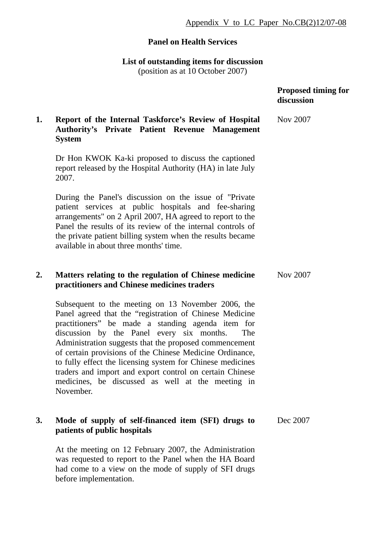## **Panel on Health Services**

**List of outstanding items for discussion**  (position as at 10 October 2007)

|    |                                                                                                                                                                                                                                                                                                                                                                                                                                                                                                                                          | <b>Proposed timing for</b><br>discussion |
|----|------------------------------------------------------------------------------------------------------------------------------------------------------------------------------------------------------------------------------------------------------------------------------------------------------------------------------------------------------------------------------------------------------------------------------------------------------------------------------------------------------------------------------------------|------------------------------------------|
| 1. | Report of the Internal Taskforce's Review of Hospital<br><b>Authority's Private Patient Revenue Management</b><br><b>System</b>                                                                                                                                                                                                                                                                                                                                                                                                          | <b>Nov 2007</b>                          |
|    | Dr Hon KWOK Ka-ki proposed to discuss the captioned<br>report released by the Hospital Authority (HA) in late July<br>2007.                                                                                                                                                                                                                                                                                                                                                                                                              |                                          |
|    | During the Panel's discussion on the issue of "Private"<br>patient services at public hospitals and fee-sharing<br>arrangements" on 2 April 2007, HA agreed to report to the<br>Panel the results of its review of the internal controls of<br>the private patient billing system when the results became<br>available in about three months' time.                                                                                                                                                                                      |                                          |
| 2. | Matters relating to the regulation of Chinese medicine<br>practitioners and Chinese medicines traders                                                                                                                                                                                                                                                                                                                                                                                                                                    | <b>Nov 2007</b>                          |
|    | Subsequent to the meeting on 13 November 2006, the<br>Panel agreed that the "registration of Chinese Medicine<br>practitioners" be made a standing agenda item for<br>discussion by the Panel every six months.<br>The<br>Administration suggests that the proposed commencement<br>of certain provisions of the Chinese Medicine Ordinance,<br>to fully effect the licensing system for Chinese medicines<br>traders and import and export control on certain Chinese<br>medicines, be discussed as well at the meeting in<br>November. |                                          |
| 3. | Mode of supply of self-financed item (SFI) drugs to<br>patients of public hospitals                                                                                                                                                                                                                                                                                                                                                                                                                                                      | Dec 2007                                 |

At the meeting on 12 February 2007, the Administration was requested to report to the Panel when the HA Board had come to a view on the mode of supply of SFI drugs before implementation.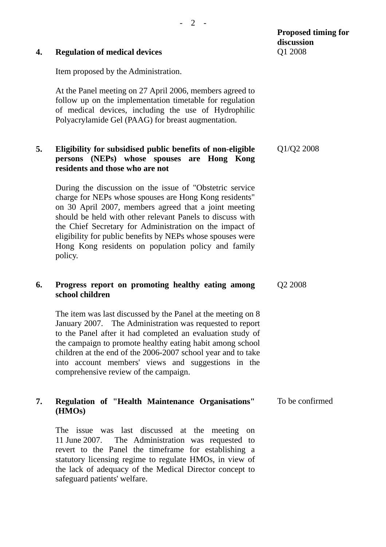| 4. | <b>Regulation of medical devices</b>                                                                                                                                                                                                                                                                                                                                                                                                 | Q1 2008         |
|----|--------------------------------------------------------------------------------------------------------------------------------------------------------------------------------------------------------------------------------------------------------------------------------------------------------------------------------------------------------------------------------------------------------------------------------------|-----------------|
|    | Item proposed by the Administration.                                                                                                                                                                                                                                                                                                                                                                                                 |                 |
|    | At the Panel meeting on 27 April 2006, members agreed to<br>follow up on the implementation timetable for regulation<br>of medical devices, including the use of Hydrophilic<br>Polyacrylamide Gel (PAAG) for breast augmentation.                                                                                                                                                                                                   |                 |
| 5. | Eligibility for subsidised public benefits of non-eligible<br>persons (NEPs) whose spouses are Hong Kong<br>residents and those who are not                                                                                                                                                                                                                                                                                          | Q1/Q2 2008      |
|    | During the discussion on the issue of "Obstetric service"<br>charge for NEPs whose spouses are Hong Kong residents"<br>on 30 April 2007, members agreed that a joint meeting<br>should be held with other relevant Panels to discuss with<br>the Chief Secretary for Administration on the impact of<br>eligibility for public benefits by NEPs whose spouses were<br>Hong Kong residents on population policy and family<br>policy. |                 |
| 6. | Progress report on promoting healthy eating among<br>school children                                                                                                                                                                                                                                                                                                                                                                 | Q2 2008         |
|    | The item was last discussed by the Panel at the meeting on 8<br>January 2007. The Administration was requested to report<br>to the Panel after it had completed an evaluation study of<br>the campaign to promote healthy eating habit among school<br>children at the end of the 2006-2007 school year and to take<br>into account members' views and suggestions in the<br>comprehensive review of the campaign.                   |                 |
| 7. | Regulation of "Health Maintenance Organisations"<br>(HMOs)                                                                                                                                                                                                                                                                                                                                                                           | To be confirmed |
|    | The issue was last discussed at the meeting on<br>The Administration was requested to<br>11 June 2007.<br>revert to the Panel the timeframe for establishing a<br>statutory licensing regime to regulate HMOs, in view of<br>the lack of adequacy of the Medical Director concept to<br>safeguard patients' welfare.                                                                                                                 |                 |

**discussion**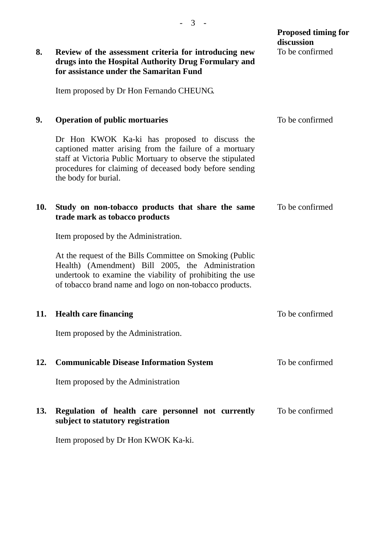|     |                                                                                                                                                                                                                                                            | <b>Proposed timing for</b><br>discussion |
|-----|------------------------------------------------------------------------------------------------------------------------------------------------------------------------------------------------------------------------------------------------------------|------------------------------------------|
| 8.  | Review of the assessment criteria for introducing new<br>drugs into the Hospital Authority Drug Formulary and<br>for assistance under the Samaritan Fund                                                                                                   | To be confirmed                          |
|     | Item proposed by Dr Hon Fernando CHEUNG.                                                                                                                                                                                                                   |                                          |
| 9.  | <b>Operation of public mortuaries</b>                                                                                                                                                                                                                      | To be confirmed                          |
|     | Dr Hon KWOK Ka-ki has proposed to discuss the<br>captioned matter arising from the failure of a mortuary<br>staff at Victoria Public Mortuary to observe the stipulated<br>procedures for claiming of deceased body before sending<br>the body for burial. |                                          |
| 10. | Study on non-tobacco products that share the same<br>trade mark as tobacco products                                                                                                                                                                        | To be confirmed                          |
|     | Item proposed by the Administration.                                                                                                                                                                                                                       |                                          |
|     | At the request of the Bills Committee on Smoking (Public<br>Health) (Amendment) Bill 2005, the Administration<br>undertook to examine the viability of prohibiting the use<br>of tobacco brand name and logo on non-tobacco products.                      |                                          |
| 11. | <b>Health care financing</b>                                                                                                                                                                                                                               | To be confirmed                          |
|     | Item proposed by the Administration.                                                                                                                                                                                                                       |                                          |
| 12. | <b>Communicable Disease Information System</b>                                                                                                                                                                                                             | To be confirmed                          |
|     | Item proposed by the Administration                                                                                                                                                                                                                        |                                          |
| 13. | Regulation of health care personnel not currently<br>subject to statutory registration                                                                                                                                                                     | To be confirmed                          |
|     | Item proposed by Dr Hon KWOK Ka-ki.                                                                                                                                                                                                                        |                                          |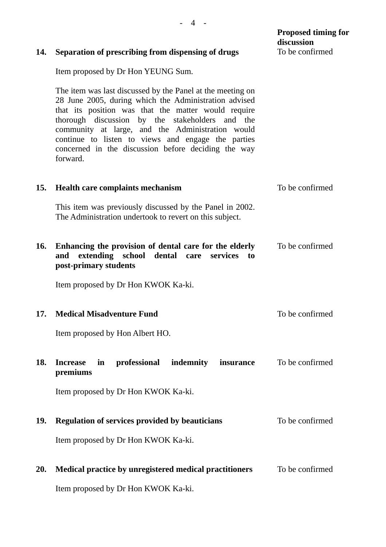| 14.        | Separation of prescribing from dispensing of drugs                                                                                                                                                                                                                                                                                                                                                         | <b>Proposed timing for</b><br>discussion<br>To be confirmed |
|------------|------------------------------------------------------------------------------------------------------------------------------------------------------------------------------------------------------------------------------------------------------------------------------------------------------------------------------------------------------------------------------------------------------------|-------------------------------------------------------------|
|            | Item proposed by Dr Hon YEUNG Sum.                                                                                                                                                                                                                                                                                                                                                                         |                                                             |
|            | The item was last discussed by the Panel at the meeting on<br>28 June 2005, during which the Administration advised<br>that its position was that the matter would require<br>thorough discussion by the stakeholders and the<br>community at large, and the Administration would<br>continue to listen to views and engage the parties<br>concerned in the discussion before deciding the way<br>forward. |                                                             |
| 15.        | <b>Health care complaints mechanism</b>                                                                                                                                                                                                                                                                                                                                                                    | To be confirmed                                             |
|            | This item was previously discussed by the Panel in 2002.<br>The Administration undertook to revert on this subject.                                                                                                                                                                                                                                                                                        |                                                             |
| 16.        | Enhancing the provision of dental care for the elderly<br>extending<br>school<br>dental<br>services<br>and<br>care<br>to<br>post-primary students                                                                                                                                                                                                                                                          | To be confirmed                                             |
|            | Item proposed by Dr Hon KWOK Ka-ki.                                                                                                                                                                                                                                                                                                                                                                        |                                                             |
| 17.        | <b>Medical Misadventure Fund</b>                                                                                                                                                                                                                                                                                                                                                                           | To be confirmed                                             |
|            | Item proposed by Hon Albert HO.                                                                                                                                                                                                                                                                                                                                                                            |                                                             |
| 18.        | professional<br>indemnity<br>insurance<br><b>Increase</b><br>in<br>premiums                                                                                                                                                                                                                                                                                                                                | To be confirmed                                             |
|            | Item proposed by Dr Hon KWOK Ka-ki.                                                                                                                                                                                                                                                                                                                                                                        |                                                             |
| <b>19.</b> | <b>Regulation of services provided by beauticians</b>                                                                                                                                                                                                                                                                                                                                                      | To be confirmed                                             |
|            | Item proposed by Dr Hon KWOK Ka-ki.                                                                                                                                                                                                                                                                                                                                                                        |                                                             |
| <b>20.</b> | Medical practice by unregistered medical practitioners                                                                                                                                                                                                                                                                                                                                                     | To be confirmed                                             |
|            | Item proposed by Dr Hon KWOK Ka-ki.                                                                                                                                                                                                                                                                                                                                                                        |                                                             |